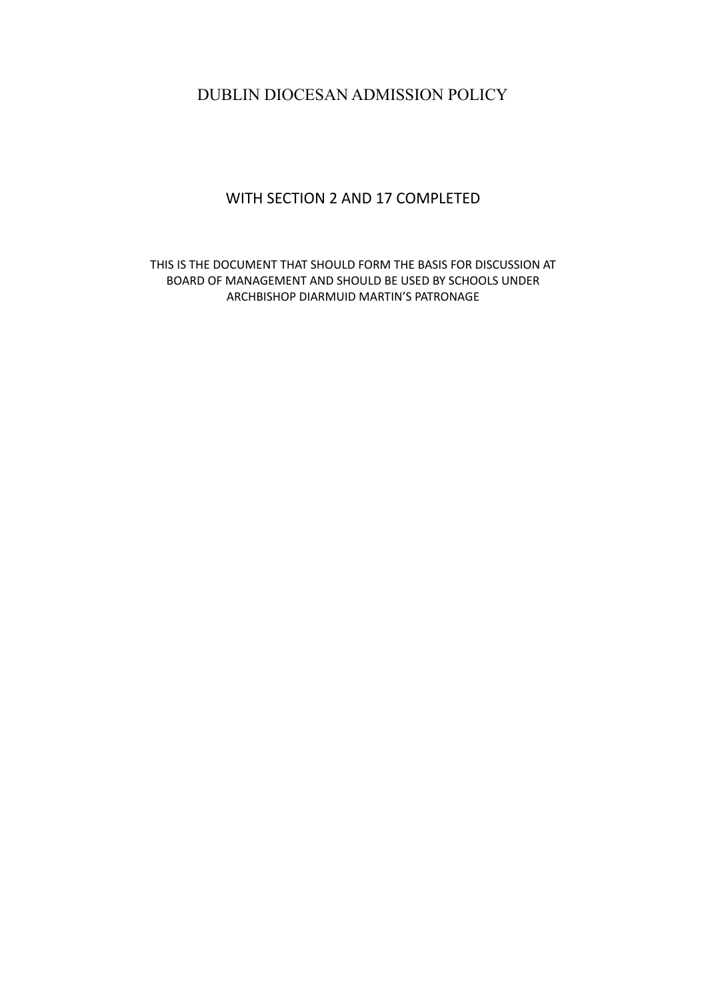# DUBLIN DIOCESAN ADMISSION POLICY

# WITH SECTION 2 AND 17 COMPLETED

THIS IS THE DOCUMENT THAT SHOULD FORM THE BASIS FOR DISCUSSION AT BOARD OF MANAGEMENT AND SHOULD BE USED BY SCHOOLS UNDER ARCHBISHOP DIARMUID MARTIN'S PATRONAGE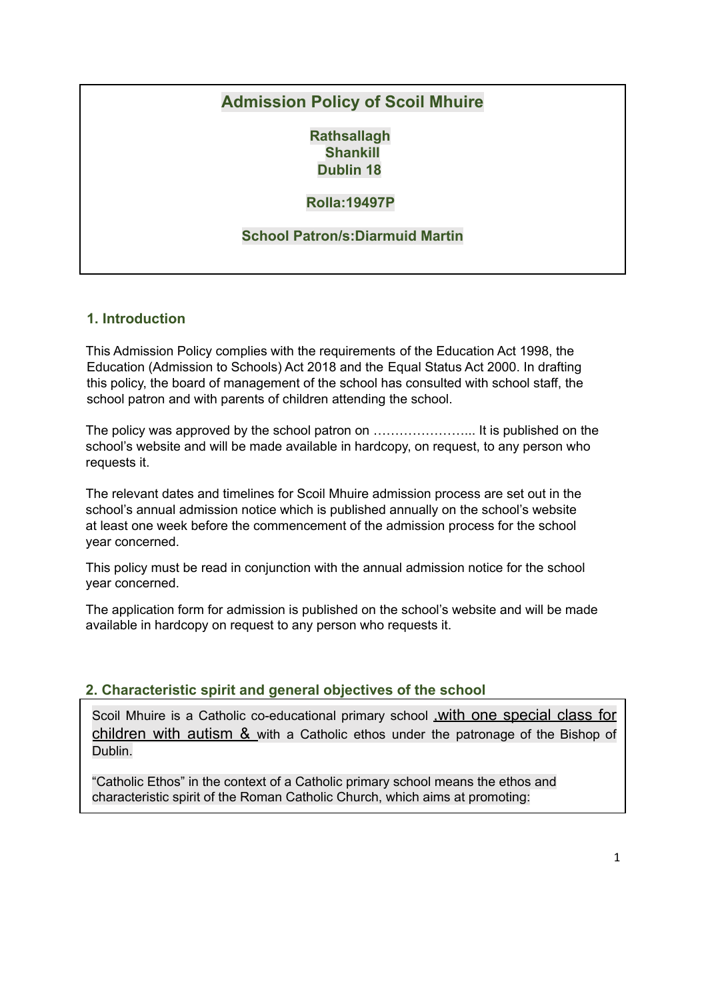# **Admission Policy of Scoil Mhuire**

**Rathsallagh Shankill Dublin 18**

# **Rolla:19497P**

## **School Patron/s:Diarmuid Martin**

## **1. Introduction**

This Admission Policy complies with the requirements of the Education Act 1998, the Education (Admission to Schools) Act 2018 and the Equal Status Act 2000. In drafting this policy, the board of management of the school has consulted with school staff, the school patron and with parents of children attending the school.

The policy was approved by the school patron on …………………... It is published on the school's website and will be made available in hardcopy, on request, to any person who requests it.

The relevant dates and timelines for Scoil Mhuire admission process are set out in the school's annual admission notice which is published annually on the school's website at least one week before the commencement of the admission process for the school year concerned.

This policy must be read in conjunction with the annual admission notice for the school year concerned.

The application form for admission is published on the school's website and will be made available in hardcopy on request to any person who requests it.

#### **2. Characteristic spirit and general objectives of the school**

Scoil Mhuire is a Catholic co-educational primary school ,with one special class for children with autism & with a Catholic ethos under the patronage of the Bishop of Dublin.

"Catholic Ethos" in the context of a Catholic primary school means the ethos and characteristic spirit of the Roman Catholic Church, which aims at promoting: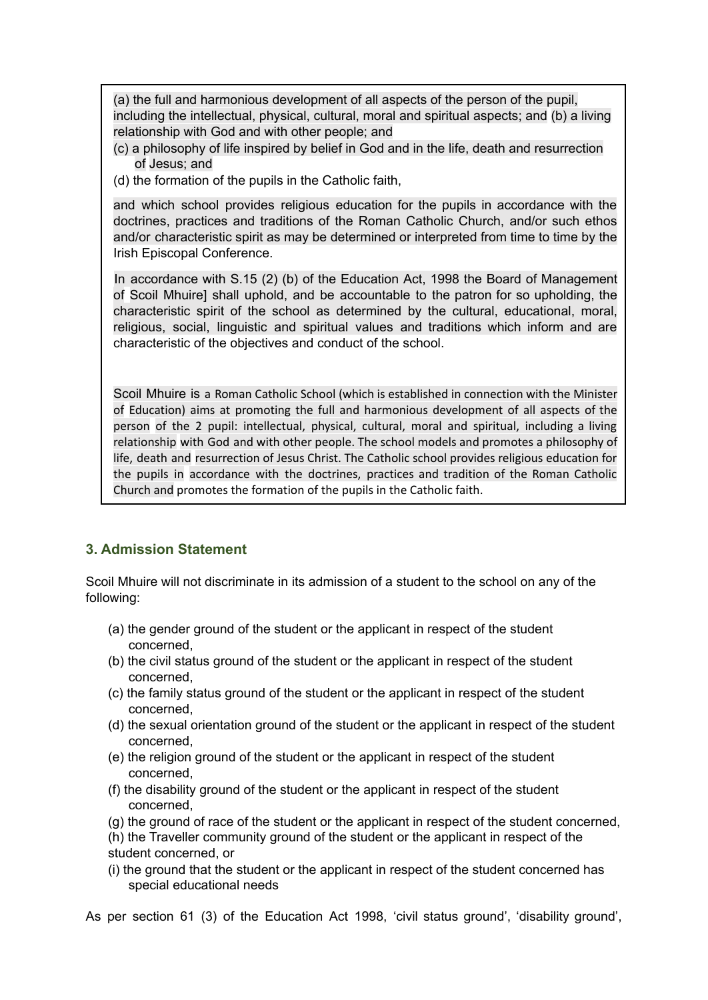(a) the full and harmonious development of all aspects of the person of the pupil, including the intellectual, physical, cultural, moral and spiritual aspects; and (b) a living relationship with God and with other people; and

- (c) a philosophy of life inspired by belief in God and in the life, death and resurrection of Jesus; and
- (d) the formation of the pupils in the Catholic faith,

and which school provides religious education for the pupils in accordance with the doctrines, practices and traditions of the Roman Catholic Church, and/or such ethos and/or characteristic spirit as may be determined or interpreted from time to time by the Irish Episcopal Conference.

In accordance with S.15 (2) (b) of the Education Act, 1998 the Board of Management of Scoil Mhuire] shall uphold, and be accountable to the patron for so upholding, the characteristic spirit of the school as determined by the cultural, educational, moral, religious, social, linguistic and spiritual values and traditions which inform and are characteristic of the objectives and conduct of the school.

Scoil Mhuire is a Roman Catholic School (which is established in connection with the Minister of Education) aims at promoting the full and harmonious development of all aspects of the person of the 2 pupil: intellectual, physical, cultural, moral and spiritual, including a living relationship with God and with other people. The school models and promotes a philosophy of life, death and resurrection of Jesus Christ. The Catholic school provides religious education for the pupils in accordance with the doctrines, practices and tradition of the Roman Catholic Church and promotes the formation of the pupils in the Catholic faith.

# **3. Admission Statement**

Scoil Mhuire will not discriminate in its admission of a student to the school on any of the following:

- (a) the gender ground of the student or the applicant in respect of the student concerned,
- (b) the civil status ground of the student or the applicant in respect of the student concerned,
- (c) the family status ground of the student or the applicant in respect of the student concerned,
- (d) the sexual orientation ground of the student or the applicant in respect of the student concerned,
- (e) the religion ground of the student or the applicant in respect of the student concerned,
- (f) the disability ground of the student or the applicant in respect of the student concerned,
- (g) the ground of race of the student or the applicant in respect of the student concerned,
- (h) the Traveller community ground of the student or the applicant in respect of the student concerned, or
- (i) the ground that the student or the applicant in respect of the student concerned has special educational needs

As per section 61 (3) of the Education Act 1998, 'civil status ground', 'disability ground',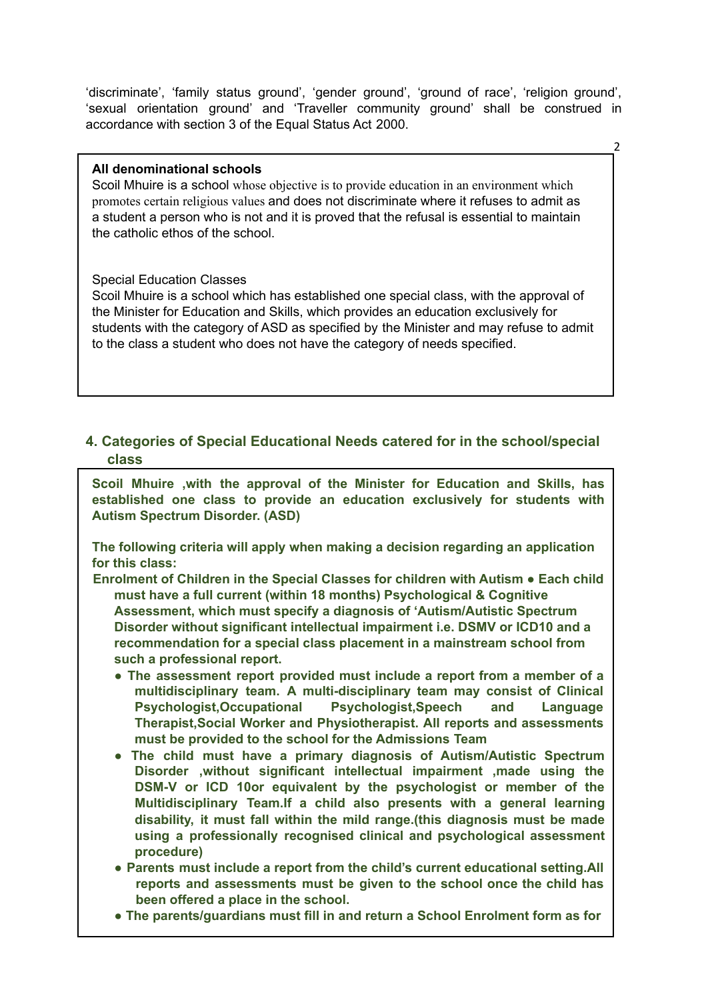'discriminate', 'family status ground', 'gender ground', 'ground of race', 'religion ground', 'sexual orientation ground' and 'Traveller community ground' shall be construed in accordance with section 3 of the Equal Status Act 2000.

 $\overline{\phantom{0}}$ 

#### **All denominational schools**

Scoil Mhuire is a school whose objective is to provide education in an environment which promotes certain religious values and does not discriminate where it refuses to admit as a student a person who is not and it is proved that the refusal is essential to maintain the catholic ethos of the school.

#### Special Education Classes

Scoil Mhuire is a school which has established one special class, with the approval of the Minister for Education and Skills, which provides an education exclusively for students with the category of ASD as specified by the Minister and may refuse to admit to the class a student who does not have the category of needs specified.

# **4. Categories of Special Educational Needs catered for in the school/special class**

**Scoil Mhuire ,with the approval of the Minister for Education and Skills, has established one class to provide an education exclusively for students with Autism Spectrum Disorder. (ASD)**

**The following criteria will apply when making a decision regarding an application for this class:**

- **Enrolment of Children in the Special Classes for children with Autism ● Each child must have a full current (within 18 months) Psychological & Cognitive Assessment, which must specify a diagnosis of 'Autism/Autistic Spectrum Disorder without significant intellectual impairment i.e. DSMV or ICD10 and a recommendation for a special class placement in a mainstream school from such a professional report.**
	- **● The assessment report provided must include a report from a member of a multidisciplinary team. A multi-disciplinary team may consist of Clinical Psychologist,Occupational Psychologist,Speech and Language Therapist,Social Worker and Physiotherapist. All reports and assessments must be provided to the school for the Admissions Team**
	- **● The child must have a primary diagnosis of Autism/Autistic Spectrum Disorder ,without significant intellectual impairment ,made using the DSM-V or ICD 10or equivalent by the psychologist or member of the Multidisciplinary Team.If a child also presents with a general learning disability, it must fall within the mild range.(this diagnosis must be made using a professionally recognised clinical and psychological assessment procedure)**
	- **● Parents must include a report from the child's current educational setting.All reports and assessments must be given to the school once the child has been offered a place in the school.**
	- **● The parents/guardians must fill in and return a School Enrolment form as for**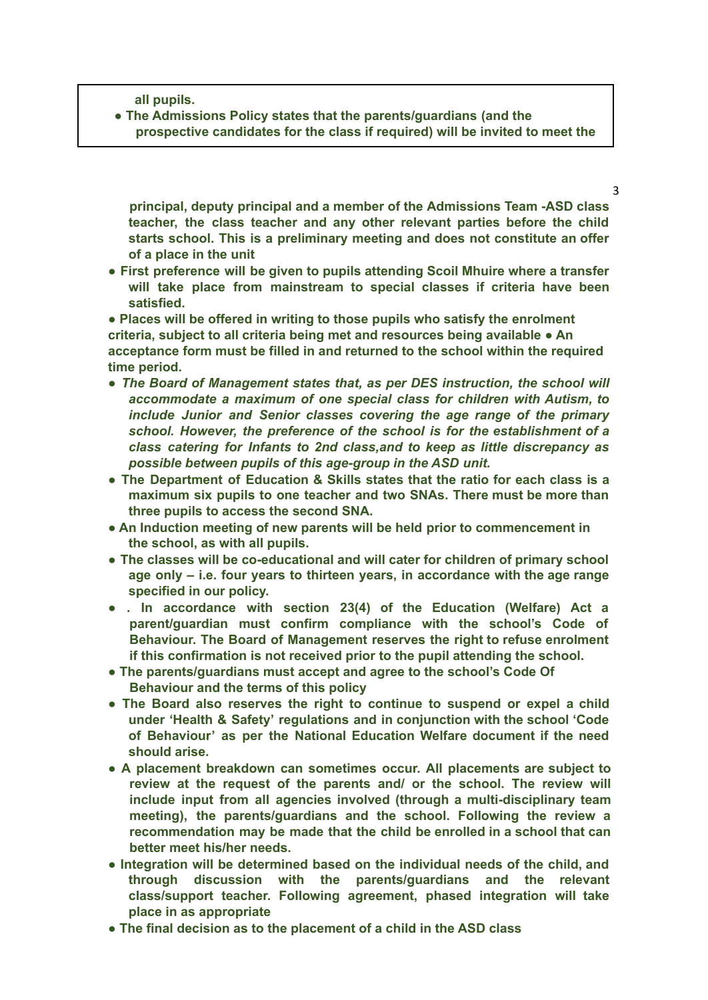**all pupils.**

**● The Admissions Policy states that the parents/guardians (and the prospective candidates for the class if required) will be invited to meet the**

**principal, deputy principal and a member of the Admissions Team -ASD class teacher, the class teacher and any other relevant parties before the child starts school. This is a preliminary meeting and does not constitute an offer of a place in the unit**

3

**● First preference will be given to pupils attending Scoil Mhuire where a transfer will take place from mainstream to special classes if criteria have been satisfied.**

**● Places will be offered in writing to those pupils who satisfy the enrolment criteria, subject to all criteria being met and resources being available ● An acceptance form must be filled in and returned to the school within the required time period.**

- *● The Board of Management states that, as per DES instruction, the school will accommodate a maximum of one special class for children with Autism, to include Junior and Senior classes covering the age range of the primary school. However, the preference of the school is for the establishment of a class catering for Infants to 2nd class,and to keep as little discrepancy as possible between pupils of this age-group in the ASD unit.*
- **● The Department of Education & Skills states that the ratio for each class is a maximum six pupils to one teacher and two SNAs. There must be more than three pupils to access the second SNA.**
- **● An Induction meeting of new parents will be held prior to commencement in the school, as with all pupils.**
- **● The classes will be co-educational and will cater for children of primary school age only – i.e. four years to thirteen years, in accordance with the age range specified in our policy.**
- **● . In accordance with section 23(4) of the Education (Welfare) Act a parent/guardian must confirm compliance with the school's Code of Behaviour. The Board of Management reserves the right to refuse enrolment if this confirmation is not received prior to the pupil attending the school.**
- **● The parents/guardians must accept and agree to the school's Code Of Behaviour and the terms of this policy**
- **● The Board also reserves the right to continue to suspend or expel a child under 'Health & Safety' regulations and in conjunction with the school 'Code of Behaviour' as per the National Education Welfare document if the need should arise.**
- **● A placement breakdown can sometimes occur. All placements are subject to review at the request of the parents and/ or the school. The review will include input from all agencies involved (through a multi-disciplinary team meeting), the parents/guardians and the school. Following the review a recommendation may be made that the child be enrolled in a school that can better meet his/her needs.**
- **● Integration will be determined based on the individual needs of the child, and through discussion with the parents/guardians and the relevant class/support teacher. Following agreement, phased integration will take place in as appropriate**
- **● The final decision as to the placement of a child in the ASD class**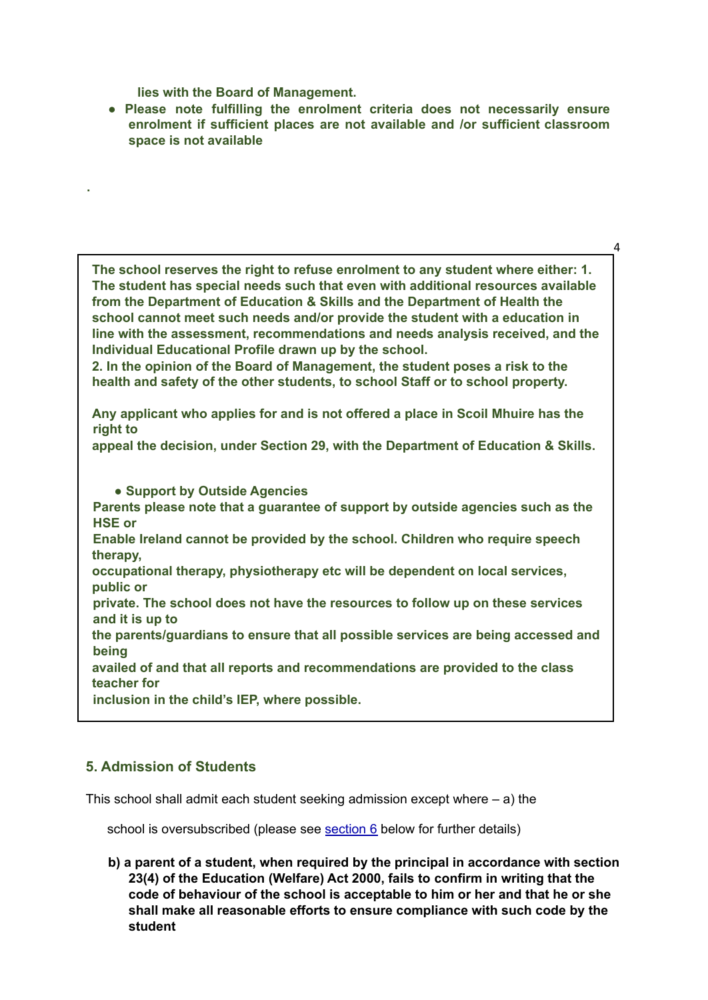**lies with the Board of Management.**

**.**

**● Please note fulfilling the enrolment criteria does not necessarily ensure enrolment if sufficient places are not available and /or sufficient classroom space is not available**

 $\overline{A}$ 

**The school reserves the right to refuse enrolment to any student where either: 1. The student has special needs such that even with additional resources available from the Department of Education & Skills and the Department of Health the school cannot meet such needs and/or provide the student with a education in line with the assessment, recommendations and needs analysis received, and the Individual Educational Profile drawn up by the school.**

**2. In the opinion of the Board of Management, the student poses a risk to the health and safety of the other students, to school Staff or to school property.**

**Any applicant who applies for and is not offered a place in Scoil Mhuire has the right to**

**appeal the decision, under Section 29, with the Department of Education & Skills.**

**● Support by Outside Agencies Parents please note that a guarantee of support by outside agencies such as the HSE or Enable Ireland cannot be provided by the school. Children who require speech therapy, occupational therapy, physiotherapy etc will be dependent on local services, public or private. The school does not have the resources to follow up on these services and it is up to the parents/guardians to ensure that all possible services are being accessed and being availed of and that all reports and recommendations are provided to the class teacher for inclusion in the child's IEP, where possible.**

# **5. Admission of Students**

This school shall admit each student seeking admission except where – a) the

school is oversubscribed (please see section 6 below for further details)

**b) a parent of a student, when required by the principal in accordance with section 23(4) of the Education (Welfare) Act 2000, fails to confirm in writing that the code of behaviour of the school is acceptable to him or her and that he or she shall make all reasonable efforts to ensure compliance with such code by the student**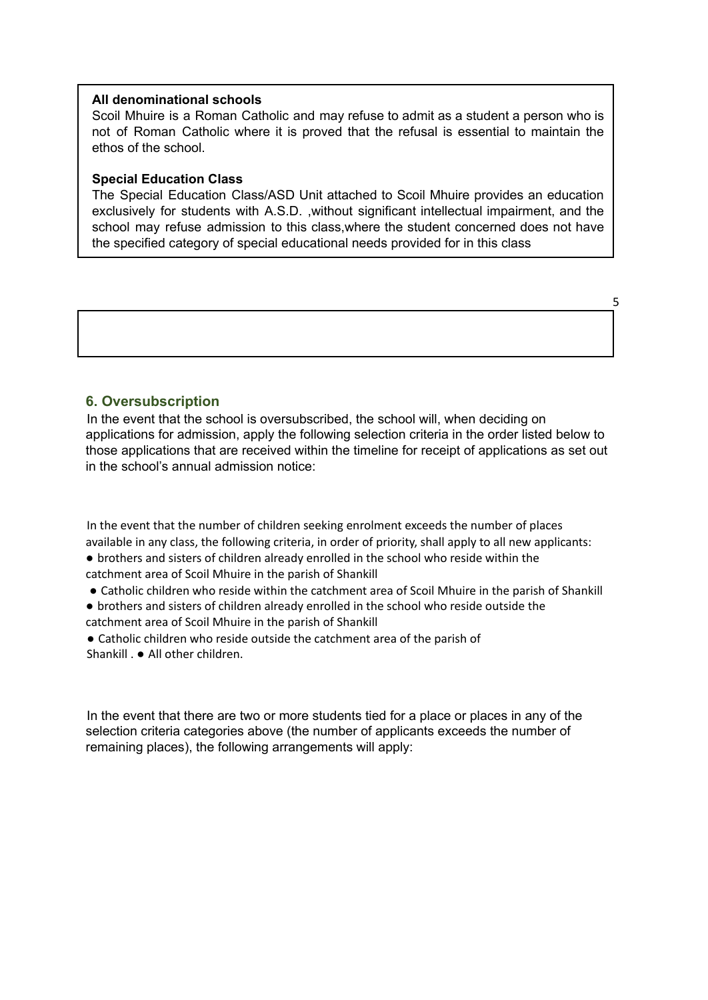#### **All denominational schools**

Scoil Mhuire is a Roman Catholic and may refuse to admit as a student a person who is not of Roman Catholic where it is proved that the refusal is essential to maintain the ethos of the school.

#### **Special Education Class**

The Special Education Class/ASD Unit attached to Scoil Mhuire provides an education exclusively for students with A.S.D. ,without significant intellectual impairment, and the school may refuse admission to this class,where the student concerned does not have the specified category of special educational needs provided for in this class

5

#### **6. Oversubscription**

In the event that the school is oversubscribed, the school will, when deciding on applications for admission, apply the following selection criteria in the order listed below to those applications that are received within the timeline for receipt of applications as set out in the school's annual admission notice:

In the event that the number of children seeking enrolment exceeds the number of places available in any class, the following criteria, in order of priority, shall apply to all new applicants: ● brothers and sisters of children already enrolled in the school who reside within the catchment area of Scoil Mhuire in the parish of Shankill

● Catholic children who reside within the catchment area of Scoil Mhuire in the parish of Shankill

- brothers and sisters of children already enrolled in the school who reside outside the catchment area of Scoil Mhuire in the parish of Shankill
- Catholic children who reside outside the catchment area of the parish of Shankill . ● All other children.

In the event that there are two or more students tied for a place or places in any of the selection criteria categories above (the number of applicants exceeds the number of remaining places), the following arrangements will apply: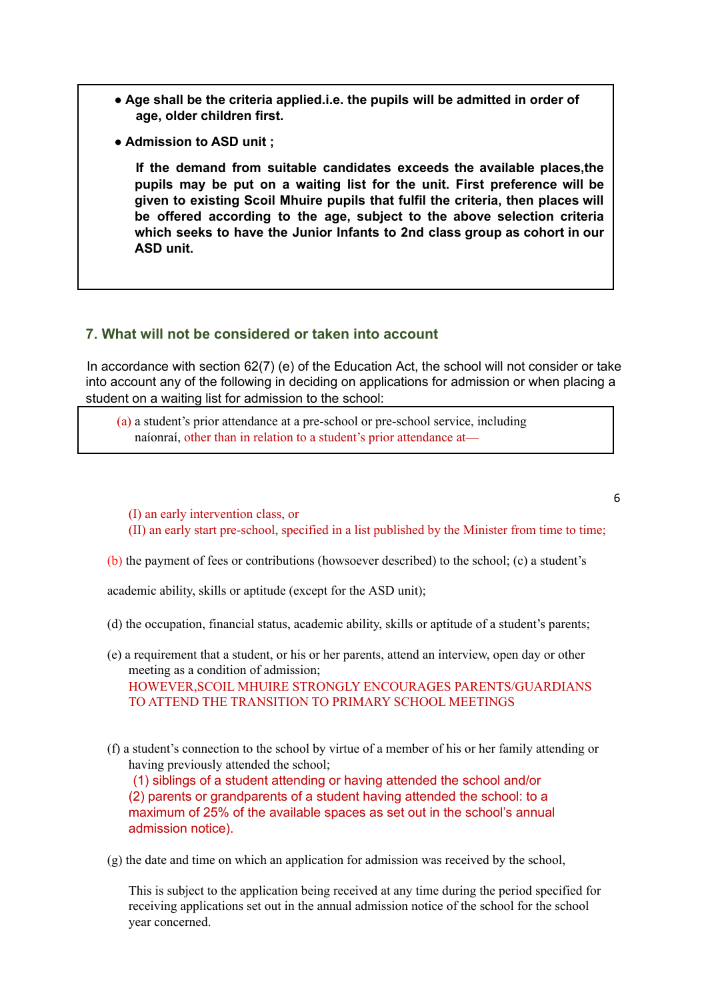- **● Age shall be the criteria applied.i.e. the pupils will be admitted in order of age, older children first.**
- **● Admission to ASD unit ;**

**If the demand from suitable candidates exceeds the available places,the pupils may be put on a waiting list for the unit. First preference will be given to existing Scoil Mhuire pupils that fulfil the criteria, then places will be offered according to the age, subject to the above selection criteria which seeks to have the Junior Infants to 2nd class group as cohort in our ASD unit.**

#### **7. What will not be considered or taken into account**

In accordance with section 62(7) (e) of the Education Act, the school will not consider or take into account any of the following in deciding on applications for admission or when placing a student on a waiting list for admission to the school:

(a) a student's prior attendance at a pre-school or pre-school service, including naíonraí, other than in relation to a student's prior attendance at—

(I) an early intervention class, or

(II) an early start pre-school, specified in a list published by the Minister from time to time;

6

(b) the payment of fees or contributions (howsoever described) to the school; (c) a student's

academic ability, skills or aptitude (except for the ASD unit);

- (d) the occupation, financial status, academic ability, skills or aptitude of a student's parents;
- (e) a requirement that a student, or his or her parents, attend an interview, open day or other meeting as a condition of admission; HOWEVER,SCOIL MHUIRE STRONGLY ENCOURAGES PARENTS/GUARDIANS TO ATTEND THE TRANSITION TO PRIMARY SCHOOL MEETINGS
- (f) a student's connection to the school by virtue of a member of his or her family attending or having previously attended the school: (1) siblings of a student attending or having attended the school and/or

(2) parents or grandparents of a student having attended the school: to a maximum of 25% of the available spaces as set out in the school's annual admission notice).

(g) the date and time on which an application for admission was received by the school,

This is subject to the application being received at any time during the period specified for receiving applications set out in the annual admission notice of the school for the school year concerned.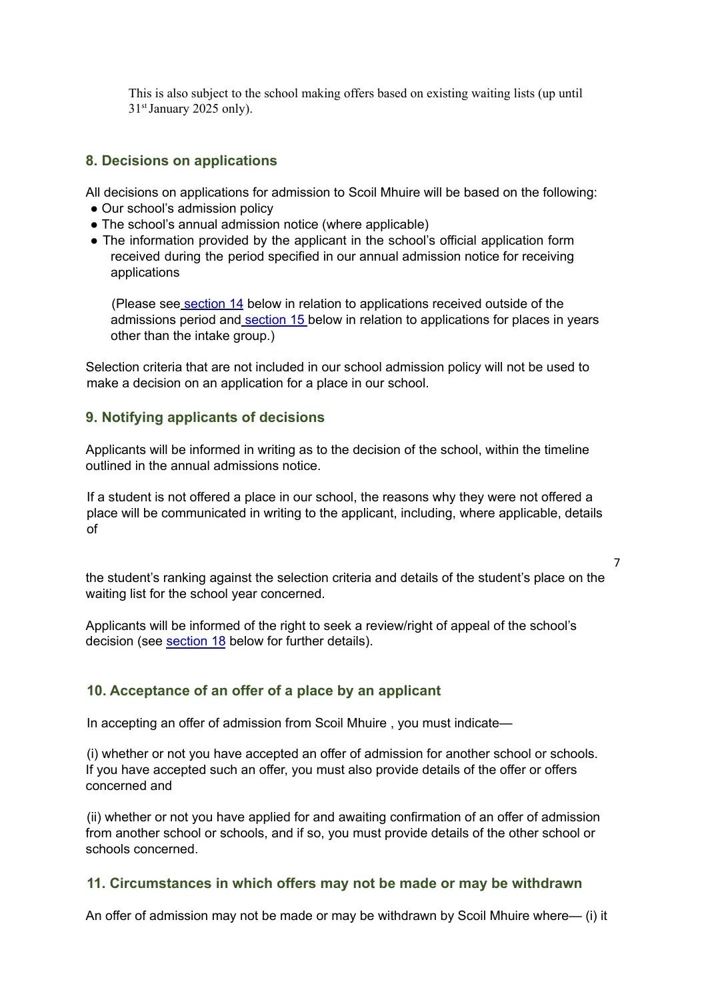This is also subject to the school making offers based on existing waiting lists (up until 31<sup>st</sup> January 2025 only).

## **8. Decisions on applications**

All decisions on applications for admission to Scoil Mhuire will be based on the following:

- **●** Our school's admission policy
- **●** The school's annual admission notice (where applicable)
- **●** The information provided by the applicant in the school's official application form received during the period specified in our annual admission notice for receiving applications

(Please see section 14 below in relation to applications received outside of the admissions period and section 15 below in relation to applications for places in years other than the intake group.)

Selection criteria that are not included in our school admission policy will not be used to make a decision on an application for a place in our school.

#### **9. Notifying applicants of decisions**

Applicants will be informed in writing as to the decision of the school, within the timeline outlined in the annual admissions notice.

If a student is not offered a place in our school, the reasons why they were not offered a place will be communicated in writing to the applicant, including, where applicable, details of

the student's ranking against the selection criteria and details of the student's place on the waiting list for the school year concerned.

7

Applicants will be informed of the right to seek a review/right of appeal of the school's decision (see section 18 below for further details).

# **10. Acceptance of an offer of a place by an applicant**

In accepting an offer of admission from Scoil Mhuire , you must indicate—

(i) whether or not you have accepted an offer of admission for another school or schools. If you have accepted such an offer, you must also provide details of the offer or offers concerned and

(ii) whether or not you have applied for and awaiting confirmation of an offer of admission from another school or schools, and if so, you must provide details of the other school or schools concerned.

#### **11. Circumstances in which offers may not be made or may be withdrawn**

An offer of admission may not be made or may be withdrawn by Scoil Mhuire where— (i) it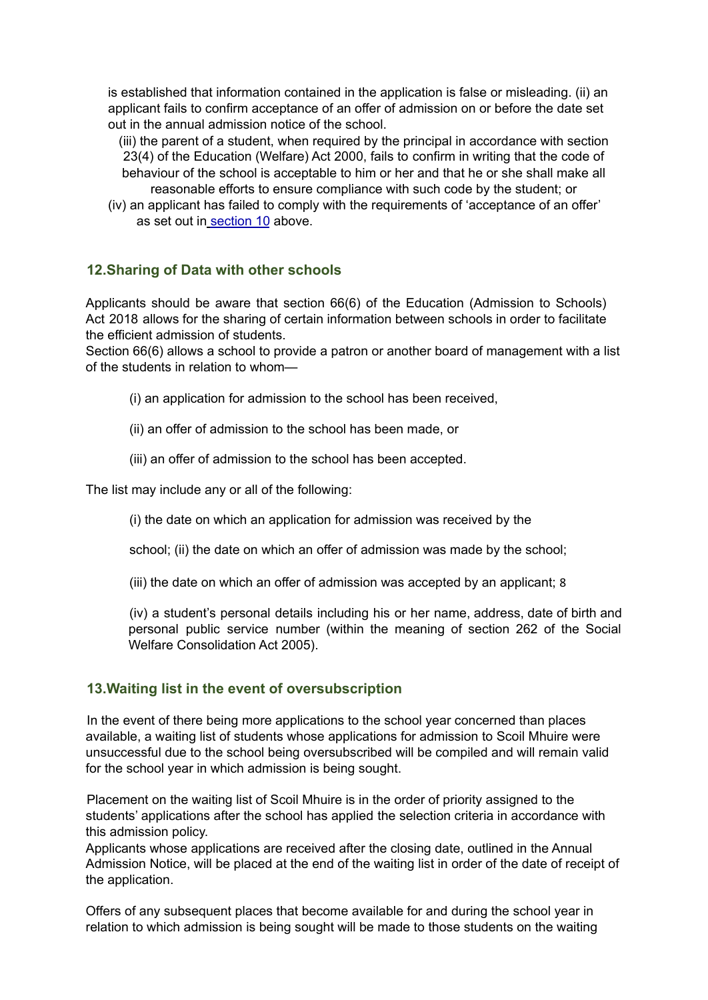is established that information contained in the application is false or misleading. (ii) an applicant fails to confirm acceptance of an offer of admission on or before the date set out in the annual admission notice of the school.

(iii) the parent of a student, when required by the principal in accordance with section 23(4) of the Education (Welfare) Act 2000, fails to confirm in writing that the code of behaviour of the school is acceptable to him or her and that he or she shall make all reasonable efforts to ensure compliance with such code by the student; or

(iv) an applicant has failed to comply with the requirements of 'acceptance of an offer' as set out in section 10 above.

# **12.Sharing of Data with other schools**

Applicants should be aware that section 66(6) of the Education (Admission to Schools) Act 2018 allows for the sharing of certain information between schools in order to facilitate the efficient admission of students.

Section 66(6) allows a school to provide a patron or another board of management with a list of the students in relation to whom—

- (i) an application for admission to the school has been received,
- (ii) an offer of admission to the school has been made, or
- (iii) an offer of admission to the school has been accepted.

The list may include any or all of the following:

(i) the date on which an application for admission was received by the

school; (ii) the date on which an offer of admission was made by the school;

(iii) the date on which an offer of admission was accepted by an applicant; 8

(iv) a student's personal details including his or her name, address, date of birth and personal public service number (within the meaning of section 262 of the Social Welfare Consolidation Act 2005).

# **13.Waiting list in the event of oversubscription**

In the event of there being more applications to the school year concerned than places available, a waiting list of students whose applications for admission to Scoil Mhuire were unsuccessful due to the school being oversubscribed will be compiled and will remain valid for the school year in which admission is being sought.

Placement on the waiting list of Scoil Mhuire is in the order of priority assigned to the students' applications after the school has applied the selection criteria in accordance with this admission policy.

Applicants whose applications are received after the closing date, outlined in the Annual Admission Notice, will be placed at the end of the waiting list in order of the date of receipt of the application.

Offers of any subsequent places that become available for and during the school year in relation to which admission is being sought will be made to those students on the waiting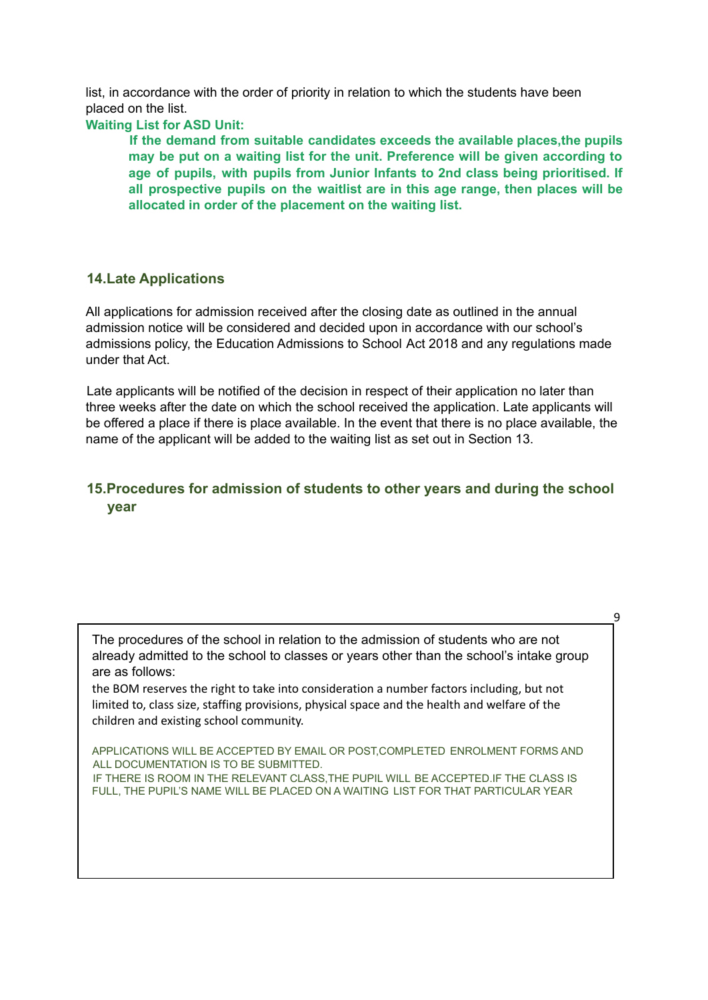list, in accordance with the order of priority in relation to which the students have been placed on the list.

**Waiting List for ASD Unit:**

**If the demand from suitable candidates exceeds the available places,the pupils may be put on a waiting list for the unit. Preference will be given according to age of pupils, with pupils from Junior Infants to 2nd class being prioritised. If all prospective pupils on the waitlist are in this age range, then places will be allocated in order of the placement on the waiting list.**

## **14.Late Applications**

All applications for admission received after the closing date as outlined in the annual admission notice will be considered and decided upon in accordance with our school's admissions policy, the Education Admissions to School Act 2018 and any regulations made under that Act.

Late applicants will be notified of the decision in respect of their application no later than three weeks after the date on which the school received the application. Late applicants will be offered a place if there is place available. In the event that there is no place available, the name of the applicant will be added to the waiting list as set out in Section 13.

# **15.Procedures for admission of students to other years and during the school year**

The procedures of the school in relation to the admission of students who are not already admitted to the school to classes or years other than the school's intake group are as follows:

9

the BOM reserves the right to take into consideration a number factors including, but not limited to, class size, staffing provisions, physical space and the health and welfare of the children and existing school community.

APPLICATIONS WILL BE ACCEPTED BY EMAIL OR POST,COMPLETED ENROLMENT FORMS AND ALL DOCUMENTATION IS TO BE SUBMITTED. IF THERE IS ROOM IN THE RELEVANT CLASS,THE PUPIL WILL BE ACCEPTED.IF THE CLASS IS FULL, THE PUPIL'S NAME WILL BE PLACED ON A WAITING LIST FOR THAT PARTICULAR YEAR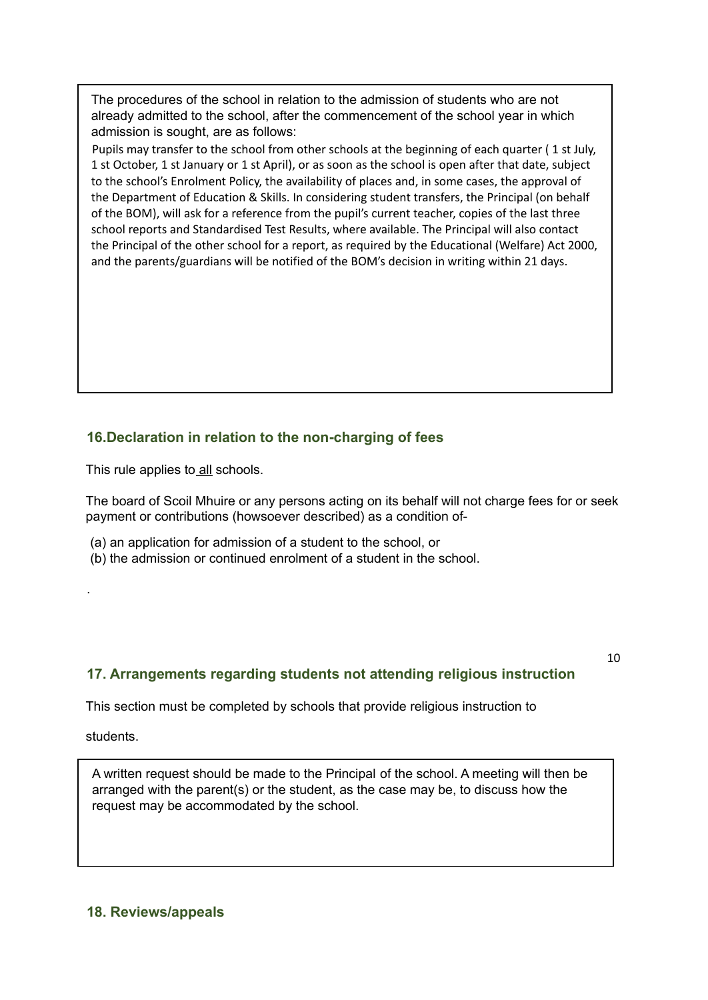The procedures of the school in relation to the admission of students who are not already admitted to the school, after the commencement of the school year in which admission is sought, are as follows:

Pupils may transfer to the school from other schools at the beginning of each quarter (1 st July, 1 st October, 1 st January or 1 st April), or as soon as the school is open after that date, subject to the school's Enrolment Policy, the availability of places and, in some cases, the approval of the Department of Education & Skills. In considering student transfers, the Principal (on behalf of the BOM), will ask for a reference from the pupil's current teacher, copies of the last three school reports and Standardised Test Results, where available. The Principal will also contact the Principal of the other school for a report, as required by the Educational (Welfare) Act 2000, and the parents/guardians will be notified of the BOM's decision in writing within 21 days.

# **16.Declaration in relation to the non-charging of fees**

This rule applies to all schools.

The board of Scoil Mhuire or any persons acting on its behalf will not charge fees for or seek payment or contributions (howsoever described) as a condition of-

- (a) an application for admission of a student to the school, or
- (b) the admission or continued enrolment of a student in the school.

# **17. Arrangements regarding students not attending religious instruction**

10

This section must be completed by schools that provide religious instruction to

students.

.

A written request should be made to the Principal of the school. A meeting will then be arranged with the parent(s) or the student, as the case may be, to discuss how the request may be accommodated by the school.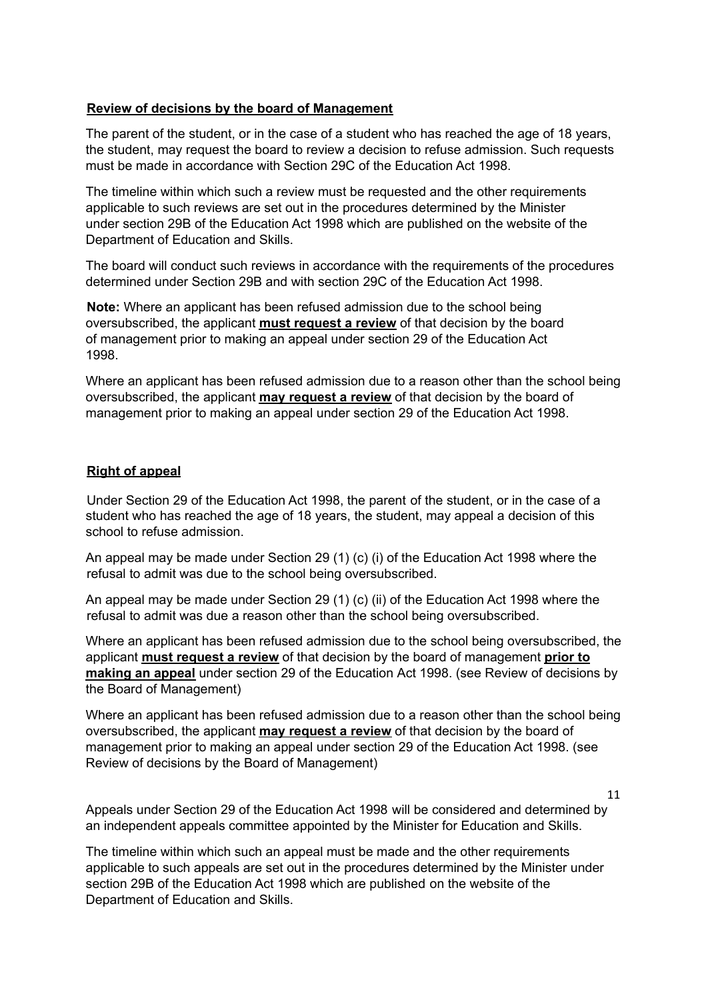#### **Review of decisions by the board of Management**

The parent of the student, or in the case of a student who has reached the age of 18 years, the student, may request the board to review a decision to refuse admission. Such requests must be made in accordance with Section 29C of the Education Act 1998.

The timeline within which such a review must be requested and the other requirements applicable to such reviews are set out in the procedures determined by the Minister under section 29B of the Education Act 1998 which are published on the website of the Department of Education and Skills.

The board will conduct such reviews in accordance with the requirements of the procedures determined under Section 29B and with section 29C of the Education Act 1998.

**Note:** Where an applicant has been refused admission due to the school being oversubscribed, the applicant **must request a review** of that decision by the board of management prior to making an appeal under section 29 of the Education Act 1998.

Where an applicant has been refused admission due to a reason other than the school being oversubscribed, the applicant **may request a review** of that decision by the board of management prior to making an appeal under section 29 of the Education Act 1998.

#### **Right of appeal**

Under Section 29 of the Education Act 1998, the parent of the student, or in the case of a student who has reached the age of 18 years, the student, may appeal a decision of this school to refuse admission.

An appeal may be made under Section 29 (1) (c) (i) of the Education Act 1998 where the refusal to admit was due to the school being oversubscribed.

An appeal may be made under Section 29 (1) (c) (ii) of the Education Act 1998 where the refusal to admit was due a reason other than the school being oversubscribed.

Where an applicant has been refused admission due to the school being oversubscribed, the applicant **must request a review** of that decision by the board of management **prior to making an appeal** under section 29 of the Education Act 1998. (see Review of decisions by the Board of Management)

Where an applicant has been refused admission due to a reason other than the school being oversubscribed, the applicant **may request a review** of that decision by the board of management prior to making an appeal under section 29 of the Education Act 1998. (see Review of decisions by the Board of Management)

11

Appeals under Section 29 of the Education Act 1998 will be considered and determined by an independent appeals committee appointed by the Minister for Education and Skills.

The timeline within which such an appeal must be made and the other requirements applicable to such appeals are set out in the procedures determined by the Minister under section 29B of the Education Act 1998 which are published on the website of the Department of Education and Skills.